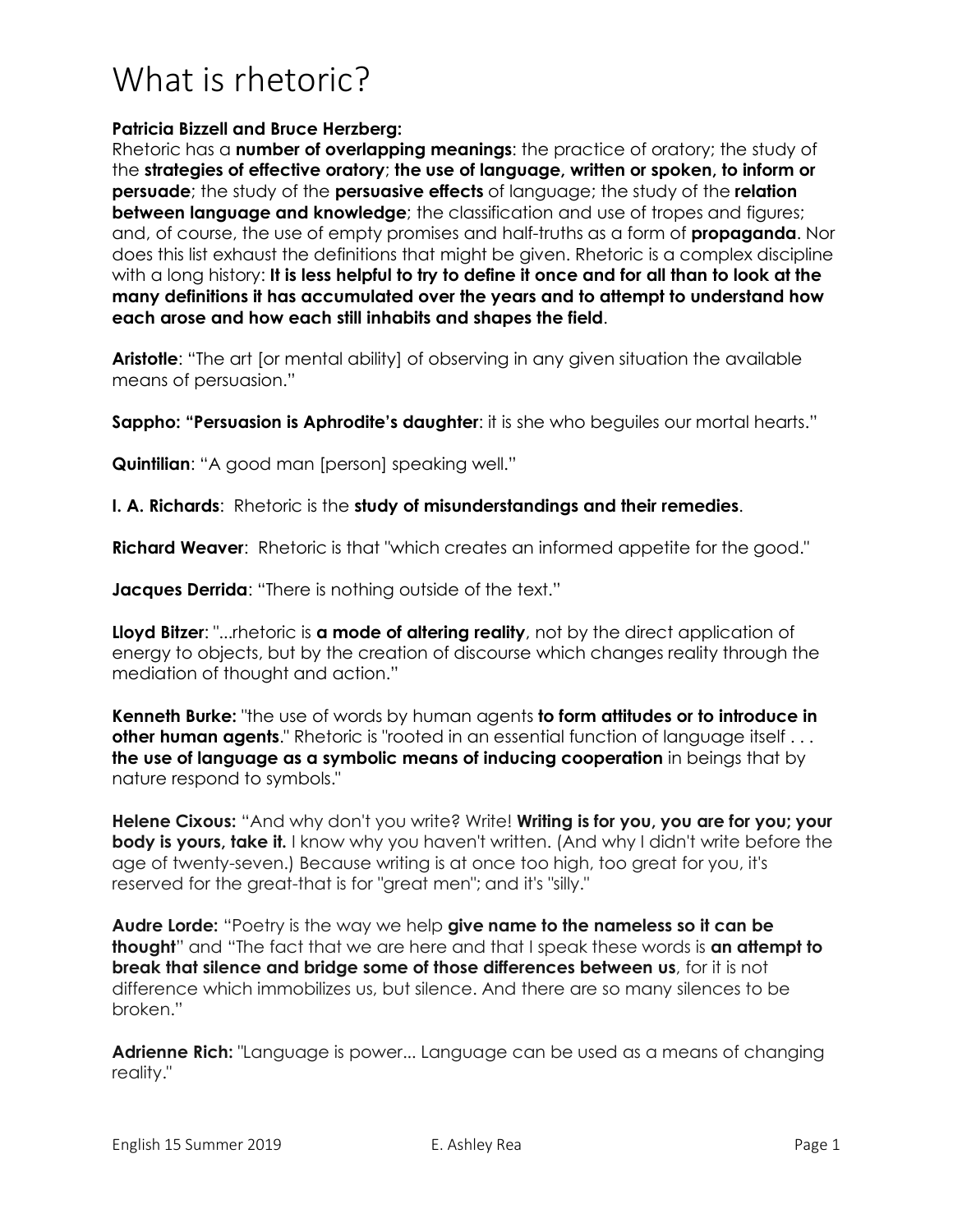## What is rhetoric?

## **Patricia Bizzell and Bruce Herzberg:**

Rhetoric has a **number of overlapping meanings**: the practice of oratory; the study of the **strategies of effective oratory**; **the use of language, written or spoken, to inform or persuade**; the study of the **persuasive effects** of language; the study of the **relation between language and knowledge**; the classification and use of tropes and figures; and, of course, the use of empty promises and half-truths as a form of **propaganda**. Nor does this list exhaust the definitions that might be given. Rhetoric is a complex discipline with a long history: **It is less helpful to try to define it once and for all than to look at the many definitions it has accumulated over the years and to attempt to understand how each arose and how each still inhabits and shapes the field**.

**Aristotle:** "The art [or mental ability] of observing in any given situation the available means of persuasion."

**Sappho: "Persuasion is Aphrodite's daughter:** it is she who bequiles our mortal hearts."

**Quintilian**: "A good man [person] speaking well."

**I. A. Richards**: Rhetoric is the **study of misunderstandings and their remedies**.

**Richard Weaver**: Rhetoric is that "which creates an informed appetite for the good."

**Jacques Derrida:** "There is nothing outside of the text."

**Lloyd Bitzer**: "...rhetoric is **a mode of altering reality**, not by the direct application of energy to objects, but by the creation of discourse which changes reality through the mediation of thought and action."

**Kenneth Burke:** "the use of words by human agents **to form attitudes or to introduce in other human agents.**" Rhetoric is "rooted in an essential function of language itself . . . **the use of language as a symbolic means of inducing cooperation** in beings that by nature respond to symbols."

**Helene Cixous:** "And why don't you write? Write! **Writing is for you, you are for you; your body is yours, take it.** I know why you haven't written. (And why I didn't write before the age of twenty-seven.) Because writing is at once too high, too great for you, it's reserved for the great-that is for "great men"; and it's "silly."

**Audre Lorde:** "Poetry is the way we help **give name to the nameless so it can be thought**" and "The fact that we are here and that I speak these words is **an attempt to break that silence and bridge some of those differences between us**, for it is not difference which immobilizes us, but silence. And there are so many silences to be broken."

**Adrienne Rich:** "Language is power... Language can be used as a means of changing reality."